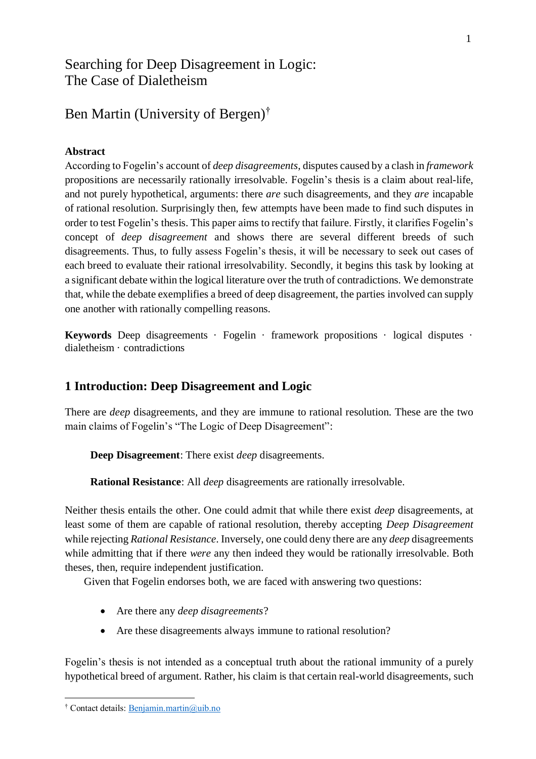# Searching for Deep Disagreement in Logic: The Case of Dialetheism

# Ben Martin (University of Bergen)†

## **Abstract**

According to Fogelin's account of *deep disagreements*, disputes caused by a clash in *framework* propositions are necessarily rationally irresolvable. Fogelin's thesis is a claim about real-life, and not purely hypothetical, arguments: there *are* such disagreements, and they *are* incapable of rational resolution. Surprisingly then, few attempts have been made to find such disputes in order to test Fogelin's thesis. This paper aims to rectify that failure. Firstly, it clarifies Fogelin's concept of *deep disagreement* and shows there are several different breeds of such disagreements. Thus, to fully assess Fogelin's thesis, it will be necessary to seek out cases of each breed to evaluate their rational irresolvability. Secondly, it begins this task by looking at a significant debate within the logical literature over the truth of contradictions. We demonstrate that, while the debate exemplifies a breed of deep disagreement, the parties involved can supply one another with rationally compelling reasons.

**Keywords** Deep disagreements · Fogelin · framework propositions · logical disputes · dialetheism · contradictions

# **1 Introduction: Deep Disagreement and Logic**

There are *deep* disagreements, and they are immune to rational resolution. These are the two main claims of Fogelin's "The Logic of Deep Disagreement":

**Deep Disagreement**: There exist *deep* disagreements.

**Rational Resistance**: All *deep* disagreements are rationally irresolvable.

Neither thesis entails the other. One could admit that while there exist *deep* disagreements, at least some of them are capable of rational resolution, thereby accepting *Deep Disagreement*  while rejecting *Rational Resistance*. Inversely, one could deny there are any *deep* disagreements while admitting that if there *were* any then indeed they would be rationally irresolvable. Both theses, then, require independent justification.

Given that Fogelin endorses both, we are faced with answering two questions:

- Are there any *deep disagreements*?
- Are these disagreements always immune to rational resolution?

Fogelin's thesis is not intended as a conceptual truth about the rational immunity of a purely hypothetical breed of argument. Rather, his claim is that certain real-world disagreements, such

 $\overline{a}$ † Contact details: [Benjamin.martin@uib.no](mailto:Benjamin.martin@uib.no)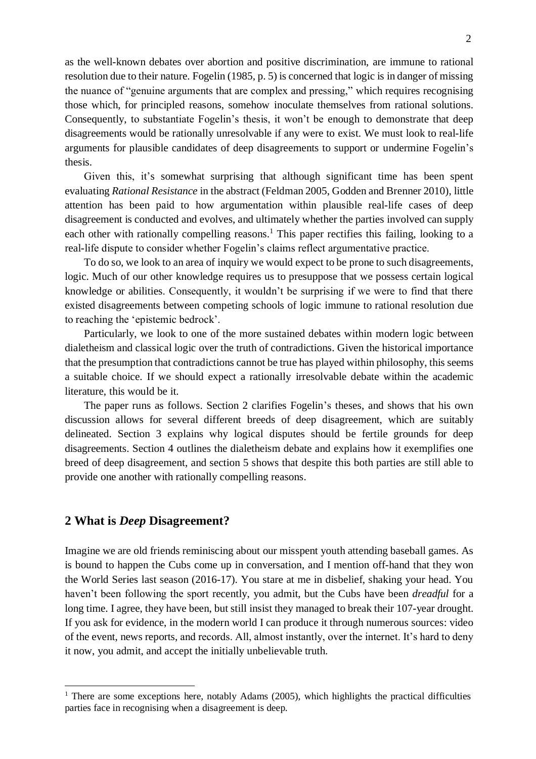as the well-known debates over abortion and positive discrimination, are immune to rational resolution due to their nature. Fogelin (1985, p. 5) is concerned that logic is in danger of missing the nuance of "genuine arguments that are complex and pressing," which requires recognising those which, for principled reasons, somehow inoculate themselves from rational solutions. Consequently, to substantiate Fogelin's thesis, it won't be enough to demonstrate that deep disagreements would be rationally unresolvable if any were to exist. We must look to real-life arguments for plausible candidates of deep disagreements to support or undermine Fogelin's thesis.

Given this, it's somewhat surprising that although significant time has been spent evaluating *Rational Resistance* in the abstract (Feldman 2005, Godden and Brenner 2010), little attention has been paid to how argumentation within plausible real-life cases of deep disagreement is conducted and evolves, and ultimately whether the parties involved can supply each other with rationally compelling reasons.<sup>1</sup> This paper rectifies this failing, looking to a real-life dispute to consider whether Fogelin's claims reflect argumentative practice.

To do so, we look to an area of inquiry we would expect to be prone to such disagreements, logic. Much of our other knowledge requires us to presuppose that we possess certain logical knowledge or abilities. Consequently, it wouldn't be surprising if we were to find that there existed disagreements between competing schools of logic immune to rational resolution due to reaching the 'epistemic bedrock'.

Particularly, we look to one of the more sustained debates within modern logic between dialetheism and classical logic over the truth of contradictions. Given the historical importance that the presumption that contradictions cannot be true has played within philosophy, this seems a suitable choice. If we should expect a rationally irresolvable debate within the academic literature, this would be it.

The paper runs as follows. Section 2 clarifies Fogelin's theses, and shows that his own discussion allows for several different breeds of deep disagreement, which are suitably delineated. Section 3 explains why logical disputes should be fertile grounds for deep disagreements. Section 4 outlines the dialetheism debate and explains how it exemplifies one breed of deep disagreement, and section 5 shows that despite this both parties are still able to provide one another with rationally compelling reasons.

#### **2 What is** *Deep* **Disagreement?**

 $\overline{a}$ 

Imagine we are old friends reminiscing about our misspent youth attending baseball games. As is bound to happen the Cubs come up in conversation, and I mention off-hand that they won the World Series last season (2016-17). You stare at me in disbelief, shaking your head. You haven't been following the sport recently, you admit, but the Cubs have been *dreadful* for a long time. I agree, they have been, but still insist they managed to break their 107-year drought. If you ask for evidence, in the modern world I can produce it through numerous sources: video of the event, news reports, and records. All, almost instantly, over the internet. It's hard to deny it now, you admit, and accept the initially unbelievable truth.

<sup>&</sup>lt;sup>1</sup> There are some exceptions here, notably Adams (2005), which highlights the practical difficulties parties face in recognising when a disagreement is deep.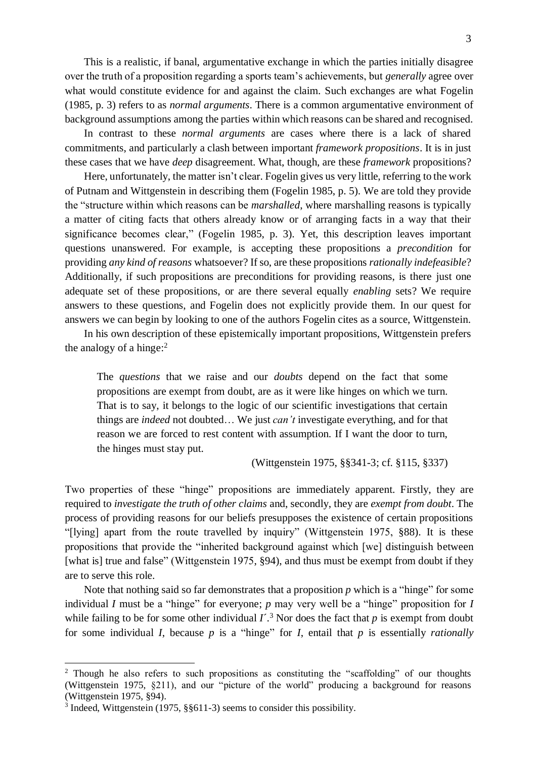This is a realistic, if banal, argumentative exchange in which the parties initially disagree over the truth of a proposition regarding a sports team's achievements, but *generally* agree over what would constitute evidence for and against the claim. Such exchanges are what Fogelin (1985, p. 3) refers to as *normal arguments*. There is a common argumentative environment of background assumptions among the parties within which reasons can be shared and recognised.

In contrast to these *normal arguments* are cases where there is a lack of shared commitments, and particularly a clash between important *framework propositions*. It is in just these cases that we have *deep* disagreement. What, though, are these *framework* propositions?

Here, unfortunately, the matter isn't clear. Fogelin gives us very little, referring to the work of Putnam and Wittgenstein in describing them (Fogelin 1985, p. 5). We are told they provide the "structure within which reasons can be *marshalled*, where marshalling reasons is typically a matter of citing facts that others already know or of arranging facts in a way that their significance becomes clear," (Fogelin 1985, p. 3). Yet, this description leaves important questions unanswered. For example, is accepting these propositions a *precondition* for providing *any kind of reasons* whatsoever? If so, are these propositions *rationally indefeasible*? Additionally, if such propositions are preconditions for providing reasons, is there just one adequate set of these propositions, or are there several equally *enabling* sets? We require answers to these questions, and Fogelin does not explicitly provide them. In our quest for answers we can begin by looking to one of the authors Fogelin cites as a source, Wittgenstein.

In his own description of these epistemically important propositions, Wittgenstein prefers the analogy of a hinge: $<sup>2</sup>$ </sup>

The *questions* that we raise and our *doubts* depend on the fact that some propositions are exempt from doubt, are as it were like hinges on which we turn. That is to say, it belongs to the logic of our scientific investigations that certain things are *indeed* not doubted… We just *can't* investigate everything, and for that reason we are forced to rest content with assumption. If I want the door to turn, the hinges must stay put.

(Wittgenstein 1975, §§341-3; cf. §115, §337)

Two properties of these "hinge" propositions are immediately apparent. Firstly, they are required to *investigate the truth of other claims* and, secondly, they are *exempt from doubt*. The process of providing reasons for our beliefs presupposes the existence of certain propositions "[lying] apart from the route travelled by inquiry" (Wittgenstein 1975, §88). It is these propositions that provide the "inherited background against which [we] distinguish between [what is] true and false" (Wittgenstein 1975, §94), and thus must be exempt from doubt if they are to serve this role.

Note that nothing said so far demonstrates that a proposition *p* which is a "hinge" for some individual *I* must be a "hinge" for everyone; *p* may very well be a "hinge" proposition for *I* while failing to be for some other individual  $I^{\prime}$ .<sup>3</sup> Nor does the fact that *p* is exempt from doubt for some individual *I*, because *p* is a "hinge" for *I*, entail that *p* is essentially *rationally* 

<sup>&</sup>lt;sup>2</sup> Though he also refers to such propositions as constituting the "scaffolding" of our thoughts (Wittgenstein 1975, §211), and our "picture of the world" producing a background for reasons (Wittgenstein 1975, §94).

<sup>&</sup>lt;sup>3</sup> Indeed, Wittgenstein (1975, §§611-3) seems to consider this possibility.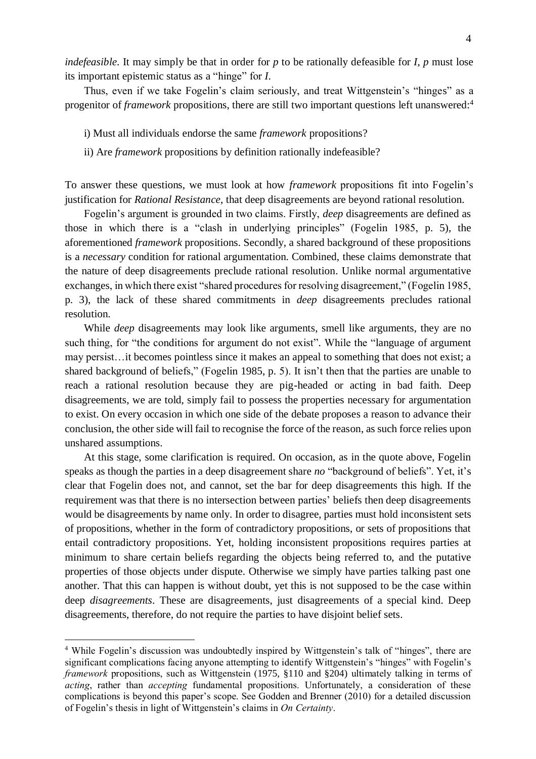*indefeasible*. It may simply be that in order for *p* to be rationally defeasible for *I*, *p* must lose its important epistemic status as a "hinge" for *I*.

Thus, even if we take Fogelin's claim seriously, and treat Wittgenstein's "hinges" as a progenitor of *framework* propositions, there are still two important questions left unanswered:<sup>4</sup>

i) Must all individuals endorse the same *framework* propositions?

ii) Are *framework* propositions by definition rationally indefeasible?

To answer these questions, we must look at how *framework* propositions fit into Fogelin's justification for *Rational Resistance*, that deep disagreements are beyond rational resolution.

Fogelin's argument is grounded in two claims. Firstly, *deep* disagreements are defined as those in which there is a "clash in underlying principles" (Fogelin 1985, p. 5), the aforementioned *framework* propositions. Secondly, a shared background of these propositions is a *necessary* condition for rational argumentation. Combined, these claims demonstrate that the nature of deep disagreements preclude rational resolution. Unlike normal argumentative exchanges, in which there exist "shared procedures for resolving disagreement," (Fogelin 1985, p. 3), the lack of these shared commitments in *deep* disagreements precludes rational resolution.

While *deep* disagreements may look like arguments, smell like arguments, they are no such thing, for "the conditions for argument do not exist". While the "language of argument may persist…it becomes pointless since it makes an appeal to something that does not exist; a shared background of beliefs," (Fogelin 1985, p. 5). It isn't then that the parties are unable to reach a rational resolution because they are pig-headed or acting in bad faith. Deep disagreements, we are told, simply fail to possess the properties necessary for argumentation to exist. On every occasion in which one side of the debate proposes a reason to advance their conclusion, the other side will fail to recognise the force of the reason, as such force relies upon unshared assumptions.

At this stage, some clarification is required. On occasion, as in the quote above, Fogelin speaks as though the parties in a deep disagreement share *no* "background of beliefs". Yet, it's clear that Fogelin does not, and cannot, set the bar for deep disagreements this high. If the requirement was that there is no intersection between parties' beliefs then deep disagreements would be disagreements by name only. In order to disagree, parties must hold inconsistent sets of propositions, whether in the form of contradictory propositions, or sets of propositions that entail contradictory propositions. Yet, holding inconsistent propositions requires parties at minimum to share certain beliefs regarding the objects being referred to, and the putative properties of those objects under dispute. Otherwise we simply have parties talking past one another. That this can happen is without doubt, yet this is not supposed to be the case within deep *disagreements*. These are disagreements, just disagreements of a special kind. Deep disagreements, therefore, do not require the parties to have disjoint belief sets.

<sup>&</sup>lt;sup>4</sup> While Fogelin's discussion was undoubtedly inspired by Wittgenstein's talk of "hinges", there are significant complications facing anyone attempting to identify Wittgenstein's "hinges" with Fogelin's *framework* propositions, such as Wittgenstein (1975, §110 and §204) ultimately talking in terms of *acting*, rather than *accepting* fundamental propositions. Unfortunately, a consideration of these complications is beyond this paper's scope. See Godden and Brenner (2010) for a detailed discussion of Fogelin's thesis in light of Wittgenstein's claims in *On Certainty*.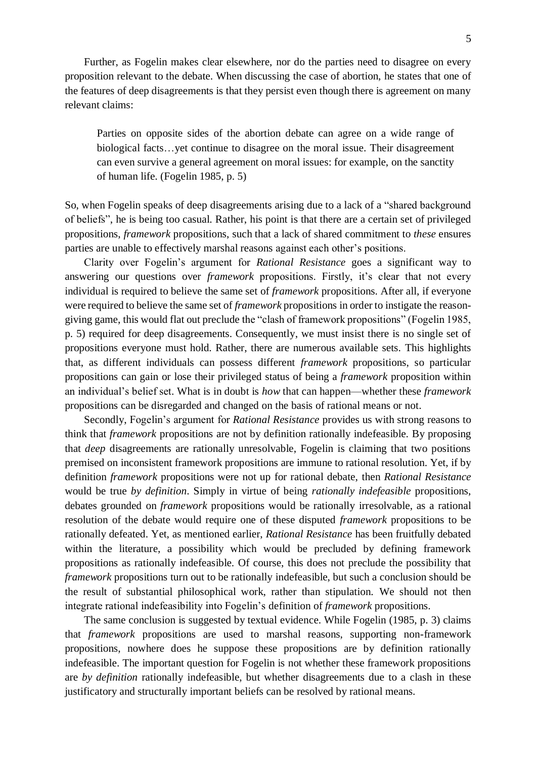Further, as Fogelin makes clear elsewhere, nor do the parties need to disagree on every proposition relevant to the debate. When discussing the case of abortion, he states that one of the features of deep disagreements is that they persist even though there is agreement on many relevant claims:

Parties on opposite sides of the abortion debate can agree on a wide range of biological facts…yet continue to disagree on the moral issue. Their disagreement can even survive a general agreement on moral issues: for example, on the sanctity of human life. (Fogelin 1985, p. 5)

So, when Fogelin speaks of deep disagreements arising due to a lack of a "shared background of beliefs", he is being too casual. Rather, his point is that there are a certain set of privileged propositions, *framework* propositions, such that a lack of shared commitment to *these* ensures parties are unable to effectively marshal reasons against each other's positions.

Clarity over Fogelin's argument for *Rational Resistance* goes a significant way to answering our questions over *framework* propositions. Firstly, it's clear that not every individual is required to believe the same set of *framework* propositions. After all, if everyone were required to believe the same set of *framework* propositions in order to instigate the reasongiving game, this would flat out preclude the "clash of framework propositions" (Fogelin 1985, p. 5) required for deep disagreements. Consequently, we must insist there is no single set of propositions everyone must hold. Rather, there are numerous available sets. This highlights that, as different individuals can possess different *framework* propositions, so particular propositions can gain or lose their privileged status of being a *framework* proposition within an individual's belief set. What is in doubt is *how* that can happen—whether these *framework* propositions can be disregarded and changed on the basis of rational means or not.

Secondly, Fogelin's argument for *Rational Resistance* provides us with strong reasons to think that *framework* propositions are not by definition rationally indefeasible. By proposing that *deep* disagreements are rationally unresolvable, Fogelin is claiming that two positions premised on inconsistent framework propositions are immune to rational resolution. Yet, if by definition *framework* propositions were not up for rational debate, then *Rational Resistance*  would be true *by definition*. Simply in virtue of being *rationally indefeasible* propositions, debates grounded on *framework* propositions would be rationally irresolvable, as a rational resolution of the debate would require one of these disputed *framework* propositions to be rationally defeated. Yet, as mentioned earlier, *Rational Resistance* has been fruitfully debated within the literature, a possibility which would be precluded by defining framework propositions as rationally indefeasible. Of course, this does not preclude the possibility that *framework* propositions turn out to be rationally indefeasible, but such a conclusion should be the result of substantial philosophical work, rather than stipulation. We should not then integrate rational indefeasibility into Fogelin's definition of *framework* propositions.

The same conclusion is suggested by textual evidence. While Fogelin (1985, p. 3) claims that *framework* propositions are used to marshal reasons, supporting non-framework propositions, nowhere does he suppose these propositions are by definition rationally indefeasible. The important question for Fogelin is not whether these framework propositions are *by definition* rationally indefeasible, but whether disagreements due to a clash in these justificatory and structurally important beliefs can be resolved by rational means.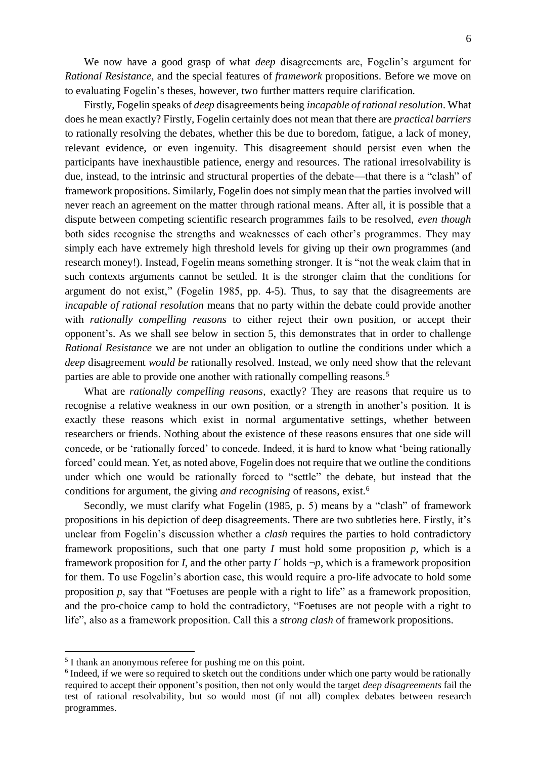We now have a good grasp of what *deep* disagreements are, Fogelin's argument for *Rational Resistance*, and the special features of *framework* propositions. Before we move on to evaluating Fogelin's theses, however, two further matters require clarification.

Firstly, Fogelin speaks of *deep* disagreements being *incapable ofrational resolution*. What does he mean exactly? Firstly, Fogelin certainly does not mean that there are *practical barriers* to rationally resolving the debates, whether this be due to boredom, fatigue, a lack of money, relevant evidence, or even ingenuity. This disagreement should persist even when the participants have inexhaustible patience, energy and resources. The rational irresolvability is due, instead, to the intrinsic and structural properties of the debate—that there is a "clash" of framework propositions. Similarly, Fogelin does not simply mean that the parties involved will never reach an agreement on the matter through rational means. After all, it is possible that a dispute between competing scientific research programmes fails to be resolved, *even though* both sides recognise the strengths and weaknesses of each other's programmes. They may simply each have extremely high threshold levels for giving up their own programmes (and research money!). Instead, Fogelin means something stronger. It is "not the weak claim that in such contexts arguments cannot be settled. It is the stronger claim that the conditions for argument do not exist," (Fogelin 1985, pp. 4-5). Thus, to say that the disagreements are *incapable of rational resolution* means that no party within the debate could provide another with *rationally compelling reasons* to either reject their own position, or accept their opponent's. As we shall see below in section 5, this demonstrates that in order to challenge *Rational Resistance* we are not under an obligation to outline the conditions under which a *deep* disagreement *would be* rationally resolved. Instead, we only need show that the relevant parties are able to provide one another with rationally compelling reasons.<sup>5</sup>

What are *rationally compelling reasons*, exactly? They are reasons that require us to recognise a relative weakness in our own position, or a strength in another's position. It is exactly these reasons which exist in normal argumentative settings, whether between researchers or friends. Nothing about the existence of these reasons ensures that one side will concede, or be 'rationally forced' to concede. Indeed, it is hard to know what 'being rationally forced' could mean. Yet, as noted above, Fogelin does not require that we outline the conditions under which one would be rationally forced to "settle" the debate, but instead that the conditions for argument, the giving *and recognising* of reasons, exist.<sup>6</sup>

Secondly, we must clarify what Fogelin (1985, p. 5) means by a "clash" of framework propositions in his depiction of deep disagreements. There are two subtleties here. Firstly, it's unclear from Fogelin's discussion whether a *clash* requires the parties to hold contradictory framework propositions, such that one party *I* must hold some proposition  $p$ , which is a framework proposition for *I*, and the other party *I* 'holds  $\neg p$ , which is a framework proposition for them. To use Fogelin's abortion case, this would require a pro-life advocate to hold some proposition *p*, say that "Foetuses are people with a right to life" as a framework proposition, and the pro-choice camp to hold the contradictory, "Foetuses are not people with a right to life", also as a framework proposition. Call this a *strong clash* of framework propositions.

<sup>&</sup>lt;sup>5</sup> I thank an anonymous referee for pushing me on this point.

<sup>&</sup>lt;sup>6</sup> Indeed, if we were so required to sketch out the conditions under which one party would be rationally required to accept their opponent's position, then not only would the target *deep disagreements* fail the test of rational resolvability, but so would most (if not all) complex debates between research programmes.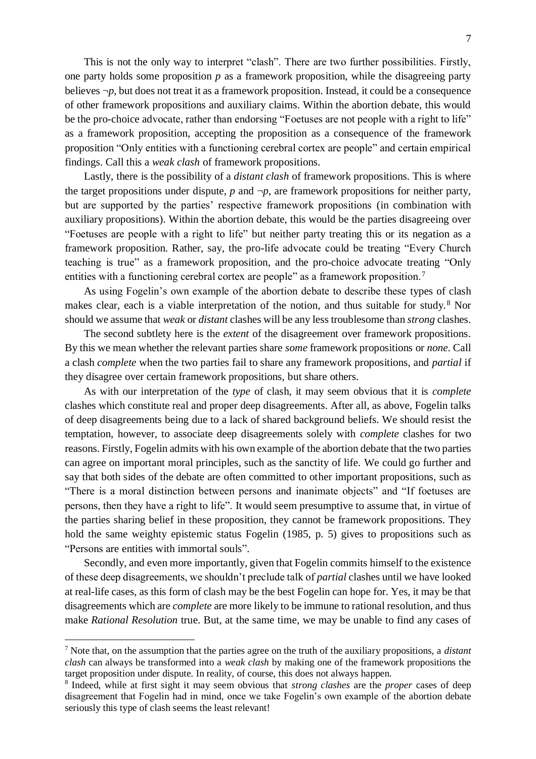This is not the only way to interpret "clash". There are two further possibilities. Firstly, one party holds some proposition *p* as a framework proposition, while the disagreeing party believes  $\neg p$ , but does not treat it as a framework proposition. Instead, it could be a consequence of other framework propositions and auxiliary claims. Within the abortion debate, this would be the pro-choice advocate, rather than endorsing "Foetuses are not people with a right to life" as a framework proposition, accepting the proposition as a consequence of the framework proposition "Only entities with a functioning cerebral cortex are people" and certain empirical findings. Call this a *weak clash* of framework propositions.

Lastly, there is the possibility of a *distant clash* of framework propositions. This is where the target propositions under dispute,  $p$  and  $\neg p$ , are framework propositions for neither party, but are supported by the parties' respective framework propositions (in combination with auxiliary propositions). Within the abortion debate, this would be the parties disagreeing over "Foetuses are people with a right to life" but neither party treating this or its negation as a framework proposition. Rather, say, the pro-life advocate could be treating "Every Church teaching is true" as a framework proposition, and the pro-choice advocate treating "Only entities with a functioning cerebral cortex are people" as a framework proposition.<sup>7</sup>

As using Fogelin's own example of the abortion debate to describe these types of clash makes clear, each is a viable interpretation of the notion, and thus suitable for study.<sup>8</sup> Nor should we assume that *weak* or *distant* clashes will be any less troublesome than *strong* clashes.

The second subtlety here is the *extent* of the disagreement over framework propositions. By this we mean whether the relevant parties share *some* framework propositions or *none*. Call a clash *complete* when the two parties fail to share any framework propositions, and *partial* if they disagree over certain framework propositions, but share others.

As with our interpretation of the *type* of clash, it may seem obvious that it is *complete* clashes which constitute real and proper deep disagreements. After all, as above, Fogelin talks of deep disagreements being due to a lack of shared background beliefs. We should resist the temptation, however, to associate deep disagreements solely with *complete* clashes for two reasons. Firstly, Fogelin admits with his own example of the abortion debate that the two parties can agree on important moral principles, such as the sanctity of life. We could go further and say that both sides of the debate are often committed to other important propositions, such as "There is a moral distinction between persons and inanimate objects" and "If foetuses are persons, then they have a right to life". It would seem presumptive to assume that, in virtue of the parties sharing belief in these proposition, they cannot be framework propositions. They hold the same weighty epistemic status Fogelin (1985, p. 5) gives to propositions such as "Persons are entities with immortal souls".

Secondly, and even more importantly, given that Fogelin commits himself to the existence of these deep disagreements, we shouldn't preclude talk of *partial* clashes until we have looked at real-life cases, as this form of clash may be the best Fogelin can hope for. Yes, it may be that disagreements which are *complete* are more likely to be immune to rational resolution, and thus make *Rational Resolution* true. But, at the same time, we may be unable to find any cases of

<sup>7</sup> Note that, on the assumption that the parties agree on the truth of the auxiliary propositions, a *distant clash* can always be transformed into a *weak clash* by making one of the framework propositions the target proposition under dispute. In reality, of course, this does not always happen.

<sup>8</sup> Indeed, while at first sight it may seem obvious that *strong clashes* are the *proper* cases of deep disagreement that Fogelin had in mind, once we take Fogelin's own example of the abortion debate seriously this type of clash seems the least relevant!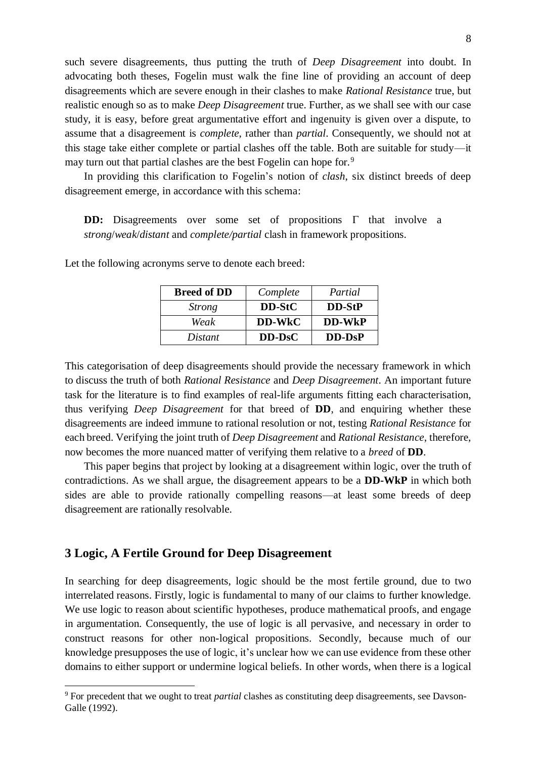such severe disagreements, thus putting the truth of *Deep Disagreement* into doubt. In advocating both theses, Fogelin must walk the fine line of providing an account of deep disagreements which are severe enough in their clashes to make *Rational Resistance* true, but realistic enough so as to make *Deep Disagreement* true. Further, as we shall see with our case study, it is easy, before great argumentative effort and ingenuity is given over a dispute, to assume that a disagreement is *complete*, rather than *partial*. Consequently, we should not at this stage take either complete or partial clashes off the table. Both are suitable for study—it may turn out that partial clashes are the best Fogelin can hope for.<sup>9</sup>

In providing this clarification to Fogelin's notion of *clash*, six distinct breeds of deep disagreement emerge, in accordance with this schema:

**DD:** Disagreements over some set of propositions  $\Gamma$  that involve a *strong*/*weak*/*distant* and *complete/partial* clash in framework propositions.

| <b>Breed of DD</b> | Complete | Partial  |
|--------------------|----------|----------|
| <i>Strong</i>      | DD-StC   | DD-StP   |
| Weak               | DD-WkC   | DD-WkP   |
| Distant            | $DD-DSC$ | $DD-DSP$ |

Let the following acronyms serve to denote each breed:

This categorisation of deep disagreements should provide the necessary framework in which to discuss the truth of both *Rational Resistance* and *Deep Disagreement*. An important future task for the literature is to find examples of real-life arguments fitting each characterisation, thus verifying *Deep Disagreement* for that breed of **DD**, and enquiring whether these disagreements are indeed immune to rational resolution or not, testing *Rational Resistance* for each breed. Verifying the joint truth of *Deep Disagreement* and *Rational Resistance*, therefore, now becomes the more nuanced matter of verifying them relative to a *breed* of **DD**.

This paper begins that project by looking at a disagreement within logic, over the truth of contradictions. As we shall argue, the disagreement appears to be a **DD-WkP** in which both sides are able to provide rationally compelling reasons—at least some breeds of deep disagreement are rationally resolvable.

## **3 Logic, A Fertile Ground for Deep Disagreement**

 $\overline{a}$ 

In searching for deep disagreements, logic should be the most fertile ground, due to two interrelated reasons. Firstly, logic is fundamental to many of our claims to further knowledge. We use logic to reason about scientific hypotheses, produce mathematical proofs, and engage in argumentation. Consequently, the use of logic is all pervasive, and necessary in order to construct reasons for other non-logical propositions. Secondly, because much of our knowledge presupposes the use of logic, it's unclear how we can use evidence from these other domains to either support or undermine logical beliefs. In other words, when there is a logical

<sup>9</sup> For precedent that we ought to treat *partial* clashes as constituting deep disagreements, see Davson-Galle (1992).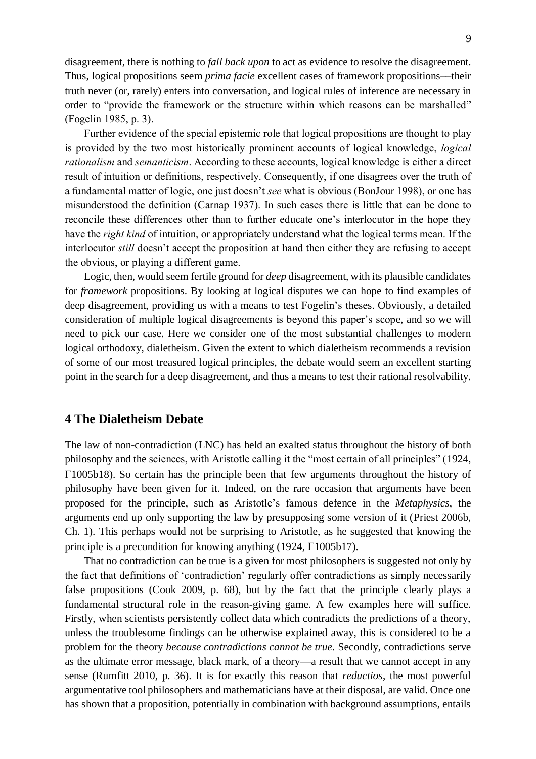disagreement, there is nothing to *fall back upon* to act as evidence to resolve the disagreement. Thus, logical propositions seem *prima facie* excellent cases of framework propositions––their truth never (or, rarely) enters into conversation, and logical rules of inference are necessary in order to "provide the framework or the structure within which reasons can be marshalled" (Fogelin 1985, p. 3).

Further evidence of the special epistemic role that logical propositions are thought to play is provided by the two most historically prominent accounts of logical knowledge, *logical rationalism* and *semanticism*. According to these accounts, logical knowledge is either a direct result of intuition or definitions, respectively. Consequently, if one disagrees over the truth of a fundamental matter of logic, one just doesn't *see* what is obvious (BonJour 1998), or one has misunderstood the definition (Carnap 1937). In such cases there is little that can be done to reconcile these differences other than to further educate one's interlocutor in the hope they have the *right kind* of intuition, or appropriately understand what the logical terms mean. If the interlocutor *still* doesn't accept the proposition at hand then either they are refusing to accept the obvious, or playing a different game.

Logic, then, would seem fertile ground for *deep* disagreement, with its plausible candidates for *framework* propositions. By looking at logical disputes we can hope to find examples of deep disagreement, providing us with a means to test Fogelin's theses. Obviously, a detailed consideration of multiple logical disagreements is beyond this paper's scope, and so we will need to pick our case. Here we consider one of the most substantial challenges to modern logical orthodoxy, dialetheism. Given the extent to which dialetheism recommends a revision of some of our most treasured logical principles, the debate would seem an excellent starting point in the search for a deep disagreement, and thus a means to test their rational resolvability.

#### **4 The Dialetheism Debate**

The law of non-contradiction (LNC) has held an exalted status throughout the history of both philosophy and the sciences, with Aristotle calling it the "most certain of all principles" (1924, 1005b18). So certain has the principle been that few arguments throughout the history of philosophy have been given for it. Indeed, on the rare occasion that arguments have been proposed for the principle, such as Aristotle's famous defence in the *Metaphysics*, the arguments end up only supporting the law by presupposing some version of it (Priest 2006b, Ch. 1). This perhaps would not be surprising to Aristotle, as he suggested that knowing the principle is a precondition for knowing anything  $(1924, \Gamma1005b17)$ .

That no contradiction can be true is a given for most philosophers is suggested not only by the fact that definitions of 'contradiction' regularly offer contradictions as simply necessarily false propositions (Cook 2009, p. 68), but by the fact that the principle clearly plays a fundamental structural role in the reason-giving game. A few examples here will suffice. Firstly, when scientists persistently collect data which contradicts the predictions of a theory, unless the troublesome findings can be otherwise explained away, this is considered to be a problem for the theory *because contradictions cannot be true*. Secondly, contradictions serve as the ultimate error message, black mark, of a theory—a result that we cannot accept in any sense (Rumfitt 2010, p. 36). It is for exactly this reason that *reductios*, the most powerful argumentative tool philosophers and mathematicians have at their disposal, are valid. Once one has shown that a proposition, potentially in combination with background assumptions, entails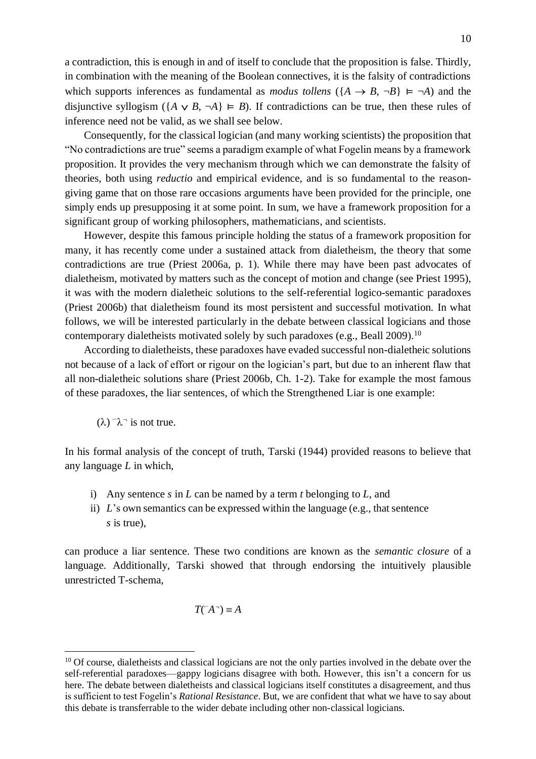a contradiction, this is enough in and of itself to conclude that the proposition is false. Thirdly, in combination with the meaning of the Boolean connectives, it is the falsity of contradictions which supports inferences as fundamental as *modus tollens* ( ${A \rightarrow B, \neg B} \models \neg A$ ) and the disjunctive syllogism ( ${A \lor B, \neg A} \models B$ ). If contradictions can be true, then these rules of inference need not be valid, as we shall see below.

Consequently, for the classical logician (and many working scientists) the proposition that "No contradictions are true" seems a paradigm example of what Fogelin means by a framework proposition. It provides the very mechanism through which we can demonstrate the falsity of theories, both using *reductio* and empirical evidence, and is so fundamental to the reasongiving game that on those rare occasions arguments have been provided for the principle, one simply ends up presupposing it at some point. In sum, we have a framework proposition for a significant group of working philosophers, mathematicians, and scientists.

However, despite this famous principle holding the status of a framework proposition for many, it has recently come under a sustained attack from dialetheism, the theory that some contradictions are true (Priest 2006a, p. 1). While there may have been past advocates of dialetheism, motivated by matters such as the concept of motion and change (see Priest 1995), it was with the modern dialetheic solutions to the self-referential logico-semantic paradoxes (Priest 2006b) that dialetheism found its most persistent and successful motivation. In what follows, we will be interested particularly in the debate between classical logicians and those contemporary dialetheists motivated solely by such paradoxes (e.g., Beall 2009).<sup>10</sup>

According to dialetheists, these paradoxes have evaded successful non-dialetheic solutions not because of a lack of effort or rigour on the logician's part, but due to an inherent flaw that all non-dialetheic solutions share (Priest 2006b, Ch. 1-2). Take for example the most famous of these paradoxes, the liar sentences, of which the Strengthened Liar is one example:

 $(\lambda)$   $\lambda$ <sup>-</sup> is not true.

 $\overline{a}$ 

In his formal analysis of the concept of truth, Tarski (1944) provided reasons to believe that any language *L* in which,

- i) Any sentence *s* in *L* can be named by a term *t* belonging to *L*, and
- ii) *L*'s own semantics can be expressed within the language (e.g., that sentence *s* is true),

can produce a liar sentence. These two conditions are known as the *semantic closure* of a language. Additionally, Tarski showed that through endorsing the intuitively plausible unrestricted T-schema,

#### $T(\overline{A}) = A$

<sup>&</sup>lt;sup>10</sup> Of course, dialetheists and classical logicians are not the only parties involved in the debate over the self-referential paradoxes—gappy logicians disagree with both. However, this isn't a concern for us here. The debate between dialetheists and classical logicians itself constitutes a disagreement, and thus is sufficient to test Fogelin's *Rational Resistance*. But, we are confident that what we have to say about this debate is transferrable to the wider debate including other non-classical logicians.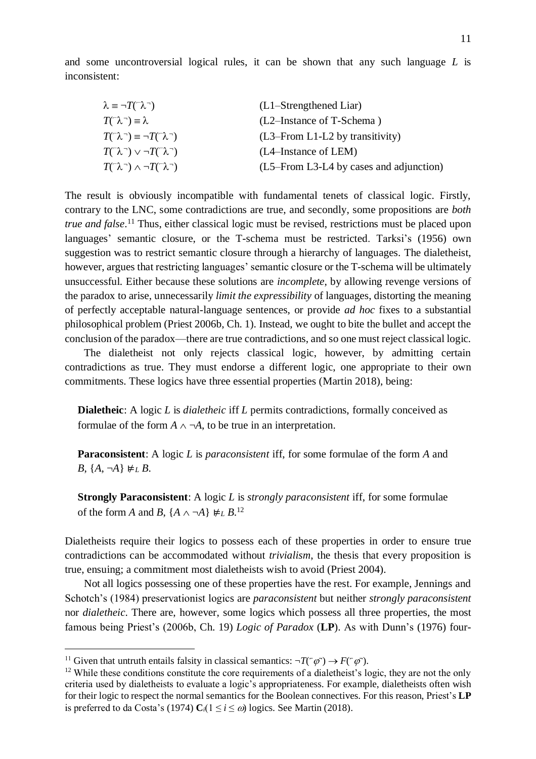and some uncontroversial logical rules, it can be shown that any such language *L* is inconsistent:

| $\lambda \equiv \neg T(\neg \lambda \neg)$                                             | (L1–Strengthened Liar)                  |  |
|----------------------------------------------------------------------------------------|-----------------------------------------|--|
| $T(\bar{(\lambda)}) \equiv \lambda$                                                    | (L2–Instance of T-Schema)               |  |
| $T(\hat{ }^{\prime }\lambda ^{\neg })\equiv \neg T(\hat{ }^{\prime }\lambda ^{\neg })$ | $(L3$ -From L1-L2 by transitivity)      |  |
| $T(\bar{C}\lambda^{-})\vee \neg T(\bar{C}\lambda^{-})$                                 | $(L4$ -Instance of LEM)                 |  |
| $T(\hat{N}) \wedge \neg T(\hat{N})$                                                    | (L5–From L3-L4 by cases and adjunction) |  |

The result is obviously incompatible with fundamental tenets of classical logic. Firstly, contrary to the LNC, some contradictions are true, and secondly, some propositions are *both true and false*. <sup>11</sup> Thus, either classical logic must be revised, restrictions must be placed upon languages' semantic closure, or the T-schema must be restricted. Tarksi's (1956) own suggestion was to restrict semantic closure through a hierarchy of languages. The dialetheist, however, argues that restricting languages' semantic closure or the T-schema will be ultimately unsuccessful. Either because these solutions are *incomplete*, by allowing revenge versions of the paradox to arise, unnecessarily *limit the expressibility* of languages, distorting the meaning of perfectly acceptable natural-language sentences, or provide *ad hoc* fixes to a substantial philosophical problem (Priest 2006b, Ch. 1). Instead, we ought to bite the bullet and accept the conclusion of the paradox—there are true contradictions, and so one must reject classical logic.

The dialetheist not only rejects classical logic, however, by admitting certain contradictions as true. They must endorse a different logic, one appropriate to their own commitments. These logics have three essential properties (Martin 2018), being:

**Dialetheic**: A logic *L* is *dialetheic* iff *L* permits contradictions, formally conceived as formulae of the form  $A \wedge \neg A$ , to be true in an interpretation.

**Paraconsistent**: A logic *L* is *paraconsistent* iff, for some formulae of the form *A* and *B*,  ${A, \neg A}$  ⊭*LB*.

**Strongly Paraconsistent**: A logic *L* is *strongly paraconsistent* iff, for some formulae of the form *A* and *B*,  $\{A \land \neg A\} \not\models L B$ <sup>12</sup>

Dialetheists require their logics to possess each of these properties in order to ensure true contradictions can be accommodated without *trivialism*, the thesis that every proposition is true, ensuing; a commitment most dialetheists wish to avoid (Priest 2004).

Not all logics possessing one of these properties have the rest. For example, Jennings and Schotch's (1984) preservationist logics are *paraconsistent* but neither *strongly paraconsistent*  nor *dialetheic*. There are, however, some logics which possess all three properties, the most famous being Priest's (2006b, Ch. 19) *Logic of Paradox* (**LP**). As with Dunn's (1976) four-

<sup>&</sup>lt;sup>11</sup> Given that untruth entails falsity in classical semantics:  $\neg T(\neg \varphi) \rightarrow F(\neg \varphi)$ .

<sup>&</sup>lt;sup>12</sup> While these conditions constitute the core requirements of a dialetheist's logic, they are not the only criteria used by dialetheists to evaluate a logic's appropriateness. For example, dialetheists often wish for their logic to respect the normal semantics for the Boolean connectives. For this reason, Priest's **LP** is preferred to da Costa's (1974)  $C_i(1 \le i \le \omega)$  logics. See Martin (2018).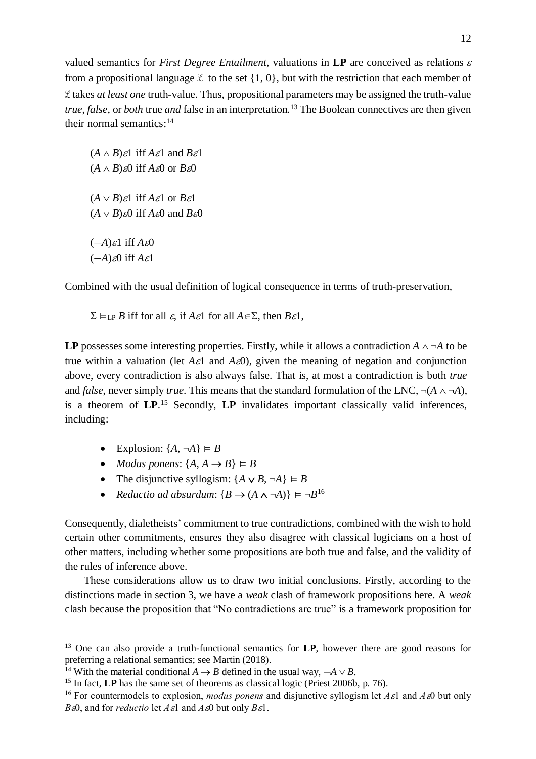valued semantics for *First Degree Entailment*, valuations in  $LP$  are conceived as relations  $\varepsilon$ from a propositional language  $\ell$  to the set  $\{1, 0\}$ , but with the restriction that each member of ℒ takes *at least one* truth-value. Thus, propositional parameters may be assigned the truth-value *true*, *false*, or *both* true *and* false in an interpretation.<sup>13</sup> The Boolean connectives are then given their normal semantics: 14

 $(A \wedge B)\varepsilon$ 1 iff  $A\varepsilon$ 1 and  $B\varepsilon$ 1  $(A \wedge B)\&0$  iff  $A\&0$  or  $B\&0$  $(A \vee B)\varepsilon$ 1 iff  $A\varepsilon$ 1 or  $B\varepsilon$ 1  $(A \vee B)\&0$  iff  $A\&0$  and  $B\&0$  $(-A)\varepsilon$ 1 iff  $A\varepsilon$ 0  $(-A)$  $\&$ 0 iff  $A\&i$ 

Combined with the usual definition of logical consequence in terms of truth-preservation,

 $\Sigma \vDash_{LP} B$  iff for all  $\varepsilon$ , if  $A \varepsilon$ 1 for all  $A \in \Sigma$ , then  $B \varepsilon$ 1,

**LP** possesses some interesting properties. Firstly, while it allows a contradiction  $A \wedge \neg A$  to be true within a valuation (let  $A\epsilon$ 1 and  $A\epsilon$ 0), given the meaning of negation and conjunction above, every contradiction is also always false. That is, at most a contradiction is both *true*  and *false*, never simply *true*. This means that the standard formulation of the LNC,  $\neg(A \land \neg A)$ , is a theorem of **LP**. <sup>15</sup> Secondly, **LP** invalidates important classically valid inferences, including:

• Explosion:  $\{A, \neg A\} \vDash B$ 

 $\overline{a}$ 

- *Modus ponens*:  $\{A, A \rightarrow B\} \models B$
- The disjunctive syllogism:  $\{A \vee B, \neg A\} \vDash B$
- *Reductio ad absurdum*:  ${B \rightarrow (A \land \neg A)} \vDash \neg B^{16}$

Consequently, dialetheists' commitment to true contradictions, combined with the wish to hold certain other commitments, ensures they also disagree with classical logicians on a host of other matters, including whether some propositions are both true and false, and the validity of the rules of inference above.

These considerations allow us to draw two initial conclusions. Firstly, according to the distinctions made in section 3, we have a *weak* clash of framework propositions here. A *weak* clash because the proposition that "No contradictions are true" is a framework proposition for

<sup>13</sup> One can also provide a truth-functional semantics for **LP**, however there are good reasons for preferring a relational semantics; see Martin (2018).

<sup>&</sup>lt;sup>14</sup> With the material conditional  $A \rightarrow B$  defined in the usual way,  $\neg A \lor B$ .

<sup>&</sup>lt;sup>15</sup> In fact, **LP** has the same set of theorems as classical logic (Priest 2006b, p. 76).

<sup>&</sup>lt;sup>16</sup> For countermodels to explosion, *modus ponens* and disjunctive syllogism let  $A\epsilon$ l and  $A\epsilon$ 0 but only *B* $\epsilon$ 0, and for *reductio* let  $A\epsilon$ 1 and  $A\epsilon$ 0 but only  $B\epsilon$ 1.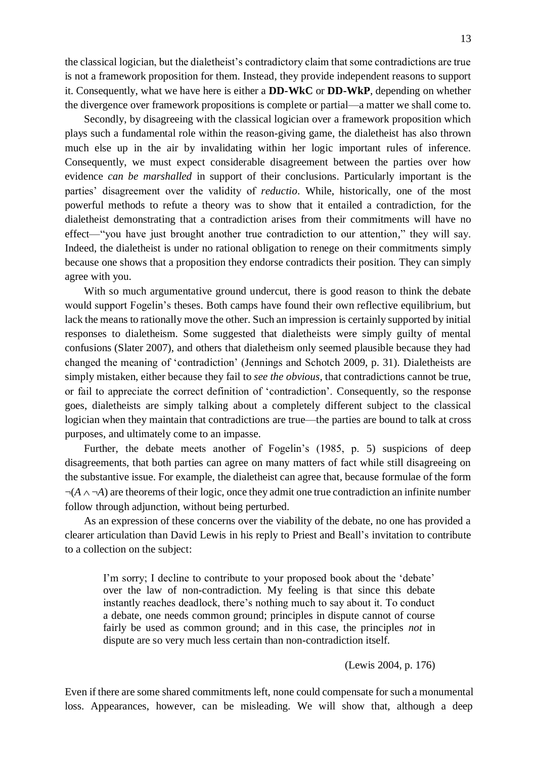the classical logician, but the dialetheist's contradictory claim that some contradictions are true is not a framework proposition for them. Instead, they provide independent reasons to support it. Consequently, what we have here is either a **DD-WkC** or **DD-WkP**, depending on whether the divergence over framework propositions is complete or partial—a matter we shall come to.

Secondly, by disagreeing with the classical logician over a framework proposition which plays such a fundamental role within the reason-giving game, the dialetheist has also thrown much else up in the air by invalidating within her logic important rules of inference. Consequently, we must expect considerable disagreement between the parties over how evidence *can be marshalled* in support of their conclusions. Particularly important is the parties' disagreement over the validity of *reductio*. While, historically, one of the most powerful methods to refute a theory was to show that it entailed a contradiction, for the dialetheist demonstrating that a contradiction arises from their commitments will have no effect—"you have just brought another true contradiction to our attention," they will say. Indeed, the dialetheist is under no rational obligation to renege on their commitments simply because one shows that a proposition they endorse contradicts their position. They can simply agree with you.

With so much argumentative ground undercut, there is good reason to think the debate would support Fogelin's theses. Both camps have found their own reflective equilibrium, but lack the means to rationally move the other. Such an impression is certainly supported by initial responses to dialetheism. Some suggested that dialetheists were simply guilty of mental confusions (Slater 2007), and others that dialetheism only seemed plausible because they had changed the meaning of 'contradiction' (Jennings and Schotch 2009, p. 31). Dialetheists are simply mistaken, either because they fail to *see the obvious*, that contradictions cannot be true, or fail to appreciate the correct definition of 'contradiction'. Consequently, so the response goes, dialetheists are simply talking about a completely different subject to the classical logician when they maintain that contradictions are true—the parties are bound to talk at cross purposes, and ultimately come to an impasse.

Further, the debate meets another of Fogelin's (1985, p. 5) suspicions of deep disagreements, that both parties can agree on many matters of fact while still disagreeing on the substantive issue. For example, the dialetheist can agree that, because formulae of the form  $\neg(A \land \neg A)$  are theorems of their logic, once they admit one true contradiction an infinite number follow through adjunction, without being perturbed.

As an expression of these concerns over the viability of the debate, no one has provided a clearer articulation than David Lewis in his reply to Priest and Beall's invitation to contribute to a collection on the subject:

I'm sorry; I decline to contribute to your proposed book about the 'debate' over the law of non-contradiction. My feeling is that since this debate instantly reaches deadlock, there's nothing much to say about it. To conduct a debate, one needs common ground; principles in dispute cannot of course fairly be used as common ground; and in this case, the principles *not* in dispute are so very much less certain than non-contradiction itself.

(Lewis 2004, p. 176)

Even if there are some shared commitments left, none could compensate for such a monumental loss. Appearances, however, can be misleading. We will show that, although a deep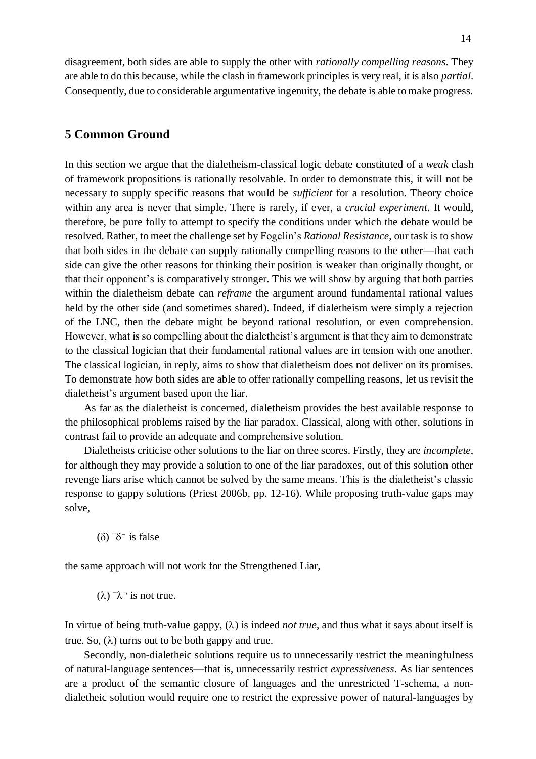disagreement, both sides are able to supply the other with *rationally compelling reasons*. They are able to do this because, while the clash in framework principles is very real, it is also *partial*. Consequently, due to considerable argumentative ingenuity, the debate is able to make progress.

# **5 Common Ground**

In this section we argue that the dialetheism-classical logic debate constituted of a *weak* clash of framework propositions is rationally resolvable. In order to demonstrate this, it will not be necessary to supply specific reasons that would be *sufficient* for a resolution. Theory choice within any area is never that simple. There is rarely, if ever, a *crucial experiment*. It would, therefore, be pure folly to attempt to specify the conditions under which the debate would be resolved. Rather, to meet the challenge set by Fogelin's *Rational Resistance*, our task is to show that both sides in the debate can supply rationally compelling reasons to the other—that each side can give the other reasons for thinking their position is weaker than originally thought, or that their opponent's is comparatively stronger. This we will show by arguing that both parties within the dialetheism debate can *reframe* the argument around fundamental rational values held by the other side (and sometimes shared). Indeed, if dialetheism were simply a rejection of the LNC, then the debate might be beyond rational resolution, or even comprehension. However, what is so compelling about the dialetheist's argument is that they aim to demonstrate to the classical logician that their fundamental rational values are in tension with one another. The classical logician, in reply, aims to show that dialetheism does not deliver on its promises. To demonstrate how both sides are able to offer rationally compelling reasons, let us revisit the dialetheist's argument based upon the liar.

As far as the dialetheist is concerned, dialetheism provides the best available response to the philosophical problems raised by the liar paradox. Classical, along with other, solutions in contrast fail to provide an adequate and comprehensive solution.

Dialetheists criticise other solutions to the liar on three scores. Firstly, they are *incomplete*, for although they may provide a solution to one of the liar paradoxes, out of this solution other revenge liars arise which cannot be solved by the same means. This is the dialetheist's classic response to gappy solutions (Priest 2006b, pp. 12-16). While proposing truth-value gaps may solve,

 $(\delta)$ <sup> $\neg$ </sup> $\delta$ <sup> $\neg$ </sup> is false

the same approach will not work for the Strengthened Liar,

 $(\lambda)$   $\lambda$ <sup>-</sup> is not true.

In virtue of being truth-value gappy,  $(\lambda)$  is indeed *not true*, and thus what it says about itself is true. So,  $(\lambda)$  turns out to be both gappy and true.

Secondly, non-dialetheic solutions require us to unnecessarily restrict the meaningfulness of natural-language sentences—that is, unnecessarily restrict *expressiveness*. As liar sentences are a product of the semantic closure of languages and the unrestricted T-schema, a nondialetheic solution would require one to restrict the expressive power of natural-languages by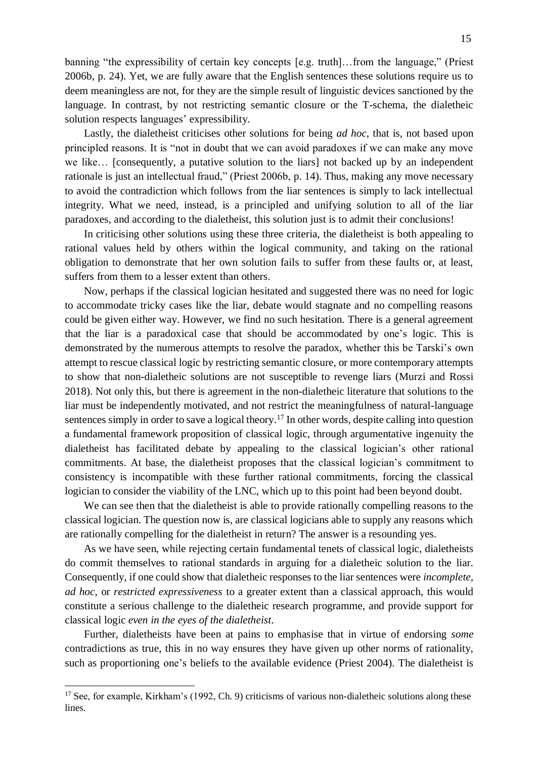banning "the expressibility of certain key concepts [e.g. truth]…from the language," (Priest 2006b, p. 24). Yet, we are fully aware that the English sentences these solutions require us to deem meaningless are not, for they are the simple result of linguistic devices sanctioned by the language. In contrast, by not restricting semantic closure or the T-schema, the dialetheic solution respects languages' expressibility.

Lastly, the dialetheist criticises other solutions for being *ad hoc*, that is, not based upon principled reasons. It is "not in doubt that we can avoid paradoxes if we can make any move we like… [consequently, a putative solution to the liars] not backed up by an independent rationale is just an intellectual fraud," (Priest 2006b, p. 14). Thus, making any move necessary to avoid the contradiction which follows from the liar sentences is simply to lack intellectual integrity. What we need, instead, is a principled and unifying solution to all of the liar paradoxes, and according to the dialetheist, this solution just is to admit their conclusions!

In criticising other solutions using these three criteria, the dialetheist is both appealing to rational values held by others within the logical community, and taking on the rational obligation to demonstrate that her own solution fails to suffer from these faults or, at least, suffers from them to a lesser extent than others.

Now, perhaps if the classical logician hesitated and suggested there was no need for logic to accommodate tricky cases like the liar, debate would stagnate and no compelling reasons could be given either way. However, we find no such hesitation. There is a general agreement that the liar is a paradoxical case that should be accommodated by one's logic. This is demonstrated by the numerous attempts to resolve the paradox, whether this be Tarski's own attempt to rescue classical logic by restricting semantic closure, or more contemporary attempts to show that non-dialetheic solutions are not susceptible to revenge liars (Murzi and Rossi 2018). Not only this, but there is agreement in the non-dialetheic literature that solutions to the liar must be independently motivated, and not restrict the meaningfulness of natural-language sentences simply in order to save a logical theory.<sup>17</sup> In other words, despite calling into question a fundamental framework proposition of classical logic, through argumentative ingenuity the dialetheist has facilitated debate by appealing to the classical logician's other rational commitments. At base, the dialetheist proposes that the classical logician's commitment to consistency is incompatible with these further rational commitments, forcing the classical logician to consider the viability of the LNC, which up to this point had been beyond doubt.

We can see then that the dialetheist is able to provide rationally compelling reasons to the classical logician. The question now is, are classical logicians able to supply any reasons which are rationally compelling for the dialetheist in return? The answer is a resounding yes.

As we have seen, while rejecting certain fundamental tenets of classical logic, dialetheists do commit themselves to rational standards in arguing for a dialetheic solution to the liar. Consequently, if one could show that dialetheic responses to the liar sentences were *incomplete*, *ad hoc*, or *restricted expressiveness* to a greater extent than a classical approach, this would constitute a serious challenge to the dialetheic research programme, and provide support for classical logic *even in the eyes of the dialetheist*.

Further, dialetheists have been at pains to emphasise that in virtue of endorsing *some* contradictions as true, this in no way ensures they have given up other norms of rationality, such as proportioning one's beliefs to the available evidence (Priest 2004). The dialetheist is

 $17$  See, for example, Kirkham's (1992, Ch. 9) criticisms of various non-dialetheic solutions along these lines.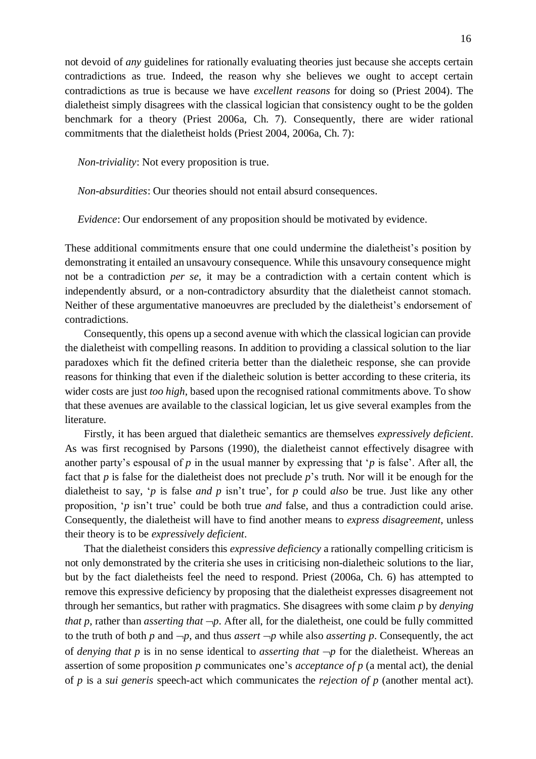not devoid of *any* guidelines for rationally evaluating theories just because she accepts certain contradictions as true. Indeed, the reason why she believes we ought to accept certain contradictions as true is because we have *excellent reasons* for doing so (Priest 2004). The dialetheist simply disagrees with the classical logician that consistency ought to be the golden benchmark for a theory (Priest 2006a, Ch. 7). Consequently, there are wider rational commitments that the dialetheist holds (Priest 2004, 2006a, Ch. 7):

*Non-triviality*: Not every proposition is true.

*Non-absurdities*: Our theories should not entail absurd consequences.

*Evidence*: Our endorsement of any proposition should be motivated by evidence.

These additional commitments ensure that one could undermine the dialetheist's position by demonstrating it entailed an unsavoury consequence. While this unsavoury consequence might not be a contradiction *per se*, it may be a contradiction with a certain content which is independently absurd, or a non-contradictory absurdity that the dialetheist cannot stomach. Neither of these argumentative manoeuvres are precluded by the dialetheist's endorsement of contradictions.

Consequently, this opens up a second avenue with which the classical logician can provide the dialetheist with compelling reasons. In addition to providing a classical solution to the liar paradoxes which fit the defined criteria better than the dialetheic response, she can provide reasons for thinking that even if the dialetheic solution is better according to these criteria, its wider costs are just *too high*, based upon the recognised rational commitments above. To show that these avenues are available to the classical logician, let us give several examples from the literature.

Firstly, it has been argued that dialetheic semantics are themselves *expressively deficient*. As was first recognised by Parsons (1990), the dialetheist cannot effectively disagree with another party's espousal of *p* in the usual manner by expressing that '*p* is false'. After all, the fact that *p* is false for the dialetheist does not preclude *p*'s truth. Nor will it be enough for the dialetheist to say, '*p* is false *and p* isn't true', for *p* could *also* be true. Just like any other proposition, '*p* isn't true' could be both true *and* false, and thus a contradiction could arise. Consequently, the dialetheist will have to find another means to *express disagreement*, unless their theory is to be *expressively deficient*.

That the dialetheist considers this *expressive deficiency* a rationally compelling criticism is not only demonstrated by the criteria she uses in criticising non-dialetheic solutions to the liar, but by the fact dialetheists feel the need to respond. Priest (2006a, Ch. 6) has attempted to remove this expressive deficiency by proposing that the dialetheist expresses disagreement not through her semantics, but rather with pragmatics. She disagrees with some claim *p* by *denying that p*, rather than *asserting that*  $\neg p$ . After all, for the dialetheist, one could be fully committed to the truth of both *p* and  $\neg p$ , and thus *assert*  $\neg p$  while also *asserting p*. Consequently, the act of *denying that p* is in no sense identical to *asserting that*  $\neg p$  for the dialetheist. Whereas an assertion of some proposition *p* communicates one's *acceptance of p* (a mental act), the denial of *p* is a *sui generis* speech-act which communicates the *rejection of p* (another mental act).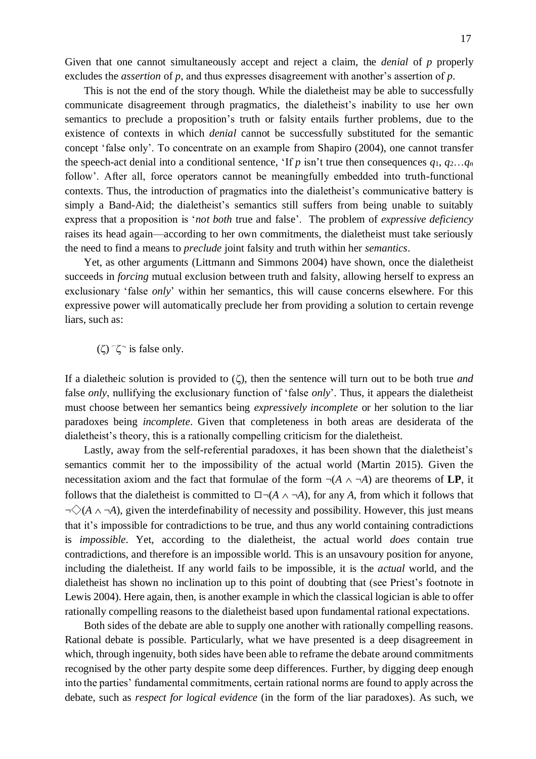Given that one cannot simultaneously accept and reject a claim, the *denial* of *p* properly excludes the *assertion* of *p*, and thus expresses disagreement with another's assertion of *p*.

This is not the end of the story though. While the dialetheist may be able to successfully communicate disagreement through pragmatics, the dialetheist's inability to use her own semantics to preclude a proposition's truth or falsity entails further problems, due to the existence of contexts in which *denial* cannot be successfully substituted for the semantic concept 'false only'. To concentrate on an example from Shapiro (2004), one cannot transfer the speech-act denial into a conditional sentence, 'If  $p$  isn't true then consequences  $q_1, q_2...q_n$ follow'. After all, force operators cannot be meaningfully embedded into truth-functional contexts. Thus, the introduction of pragmatics into the dialetheist's communicative battery is simply a Band-Aid; the dialetheist's semantics still suffers from being unable to suitably express that a proposition is '*not both* true and false'. The problem of *expressive deficiency*  raises its head again—according to her own commitments, the dialetheist must take seriously the need to find a means to *preclude* joint falsity and truth within her *semantics*.

Yet, as other arguments (Littmann and Simmons 2004) have shown, once the dialetheist succeeds in *forcing* mutual exclusion between truth and falsity, allowing herself to express an exclusionary 'false *only*' within her semantics, this will cause concerns elsewhere. For this expressive power will automatically preclude her from providing a solution to certain revenge liars, such as:

 $(\zeta)$   $\zeta$ <sup>-</sup> is false only.

If a dialetheic solution is provided to  $(\zeta)$ , then the sentence will turn out to be both true *and* false *only*, nullifying the exclusionary function of 'false *only*'. Thus, it appears the dialetheist must choose between her semantics being *expressively incomplete* or her solution to the liar paradoxes being *incomplete*. Given that completeness in both areas are desiderata of the dialetheist's theory, this is a rationally compelling criticism for the dialetheist.

Lastly, away from the self-referential paradoxes, it has been shown that the dialetheist's semantics commit her to the impossibility of the actual world (Martin 2015). Given the necessitation axiom and the fact that formulae of the form  $\neg(A \land \neg A)$  are theorems of **LP**, it follows that the dialetheist is committed to  $\Box \neg (A \land \neg A)$ , for any *A*, from which it follows that  $\neg \Diamond (A \land \neg A)$ , given the interdefinability of necessity and possibility. However, this just means that it's impossible for contradictions to be true, and thus any world containing contradictions is *impossible*. Yet, according to the dialetheist, the actual world *does* contain true contradictions, and therefore is an impossible world. This is an unsavoury position for anyone, including the dialetheist. If any world fails to be impossible, it is the *actual* world, and the dialetheist has shown no inclination up to this point of doubting that (see Priest's footnote in Lewis 2004). Here again, then, is another example in which the classical logician is able to offer rationally compelling reasons to the dialetheist based upon fundamental rational expectations.

Both sides of the debate are able to supply one another with rationally compelling reasons. Rational debate is possible. Particularly, what we have presented is a deep disagreement in which, through ingenuity, both sides have been able to reframe the debate around commitments recognised by the other party despite some deep differences. Further, by digging deep enough into the parties' fundamental commitments, certain rational norms are found to apply across the debate, such as *respect for logical evidence* (in the form of the liar paradoxes). As such, we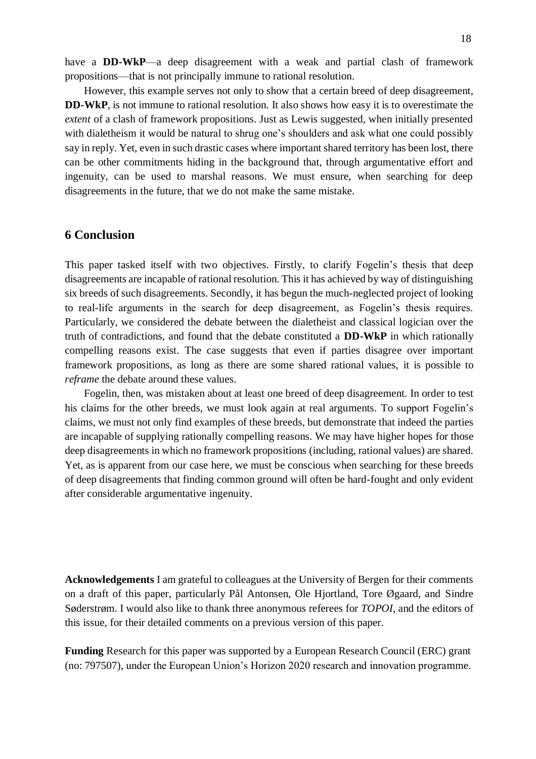have a **DD-WkP**—a deep disagreement with a weak and partial clash of framework propositions—that is not principally immune to rational resolution.

However, this example serves not only to show that a certain breed of deep disagreement, **DD-WkP**, is not immune to rational resolution. It also shows how easy it is to overestimate the *extent* of a clash of framework propositions. Just as Lewis suggested, when initially presented with dialetheism it would be natural to shrug one's shoulders and ask what one could possibly say in reply. Yet, even in such drastic cases where important shared territory has been lost, there can be other commitments hiding in the background that, through argumentative effort and ingenuity, can be used to marshal reasons. We must ensure, when searching for deep disagreements in the future, that we do not make the same mistake.

### **6 Conclusion**

This paper tasked itself with two objectives. Firstly, to clarify Fogelin's thesis that deep disagreements are incapable of rational resolution. This it has achieved by way of distinguishing six breeds of such disagreements. Secondly, it has begun the much-neglected project of looking to real-life arguments in the search for deep disagreement, as Fogelin's thesis requires. Particularly, we considered the debate between the dialetheist and classical logician over the truth of contradictions, and found that the debate constituted a **DD-WkP** in which rationally compelling reasons exist. The case suggests that even if parties disagree over important framework propositions, as long as there are some shared rational values, it is possible to *reframe* the debate around these values.

Fogelin, then, was mistaken about at least one breed of deep disagreement. In order to test his claims for the other breeds, we must look again at real arguments. To support Fogelin's claims, we must not only find examples of these breeds, but demonstrate that indeed the parties are incapable of supplying rationally compelling reasons. We may have higher hopes for those deep disagreements in which no framework propositions (including, rational values) are shared. Yet, as is apparent from our case here, we must be conscious when searching for these breeds of deep disagreements that finding common ground will often be hard-fought and only evident after considerable argumentative ingenuity.

**Acknowledgements** I am grateful to colleagues at the University of Bergen for their comments on a draft of this paper, particularly Pål Antonsen, Ole Hjortland, Tore Øgaard, and Sindre Søderstrøm. I would also like to thank three anonymous referees for *TOPOI*, and the editors of this issue, for their detailed comments on a previous version of this paper.

**Funding** Research for this paper was supported by a European Research Council (ERC) grant (no: 797507), under the European Union's Horizon 2020 research and innovation programme.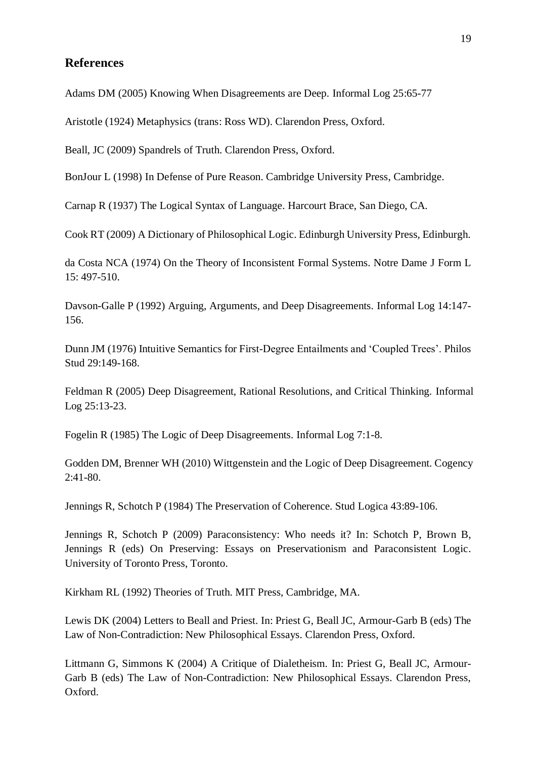## **References**

Adams DM (2005) Knowing When Disagreements are Deep. Informal Log 25:65-77

Aristotle (1924) Metaphysics (trans: Ross WD). Clarendon Press, Oxford.

Beall, JC (2009) Spandrels of Truth. Clarendon Press, Oxford.

BonJour L (1998) In Defense of Pure Reason. Cambridge University Press, Cambridge.

Carnap R (1937) The Logical Syntax of Language. Harcourt Brace, San Diego, CA.

Cook RT (2009) A Dictionary of Philosophical Logic. Edinburgh University Press, Edinburgh.

da Costa NCA (1974) On the Theory of Inconsistent Formal Systems. Notre Dame J Form L 15: 497-510.

Davson-Galle P (1992) Arguing, Arguments, and Deep Disagreements. Informal Log 14:147- 156.

Dunn JM (1976) Intuitive Semantics for First-Degree Entailments and 'Coupled Trees'. Philos Stud 29:149-168.

Feldman R (2005) Deep Disagreement, Rational Resolutions, and Critical Thinking. Informal Log 25:13-23.

Fogelin R (1985) The Logic of Deep Disagreements. Informal Log 7:1-8.

Godden DM, Brenner WH (2010) Wittgenstein and the Logic of Deep Disagreement. Cogency 2:41-80.

Jennings R, Schotch P (1984) The Preservation of Coherence. Stud Logica 43:89-106.

Jennings R, Schotch P (2009) Paraconsistency: Who needs it? In: Schotch P, Brown B, Jennings R (eds) On Preserving: Essays on Preservationism and Paraconsistent Logic. University of Toronto Press, Toronto.

Kirkham RL (1992) Theories of Truth. MIT Press, Cambridge, MA.

Lewis DK (2004) Letters to Beall and Priest. In: Priest G, Beall JC, Armour-Garb B (eds) The Law of Non-Contradiction: New Philosophical Essays. Clarendon Press, Oxford.

Littmann G, Simmons K (2004) A Critique of Dialetheism. In: Priest G, Beall JC, Armour-Garb B (eds) The Law of Non-Contradiction: New Philosophical Essays. Clarendon Press, Oxford.